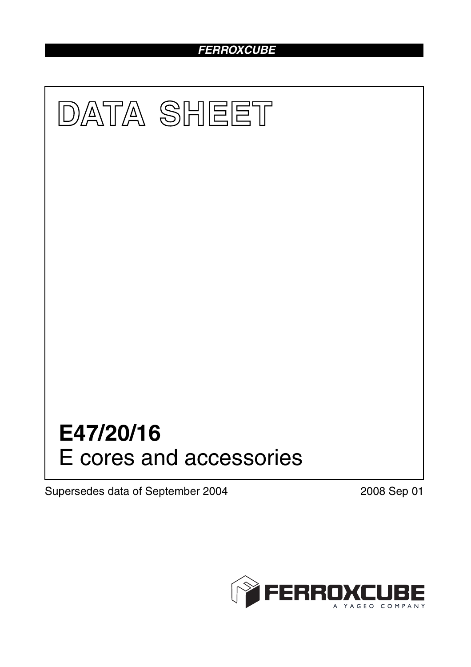# *FERROXCUBE*



Supersedes data of September 2004 2008 Sep 01

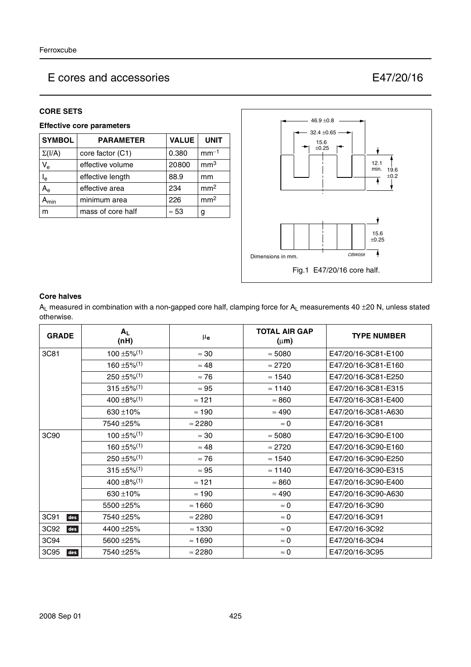#### **CORE SETS**

## **Effective core parameters**

| <b>SYMBOL</b>             | <b>PARAMETER</b>  | <b>VALUE</b> | <b>UNIT</b>     |
|---------------------------|-------------------|--------------|-----------------|
| $\Sigma(I/A)$             | core factor (C1)  | 0.380        | $mm-1$          |
| $V_{e}$                   | effective volume  | 20800        | mm <sup>3</sup> |
| l <sub>e</sub>            | effective length  | 88.9         | mm              |
| $A_{\rm e}$               | effective area    | 234          | mm <sup>2</sup> |
| $\mathbf{H}_{\text{min}}$ | minimum area      | 226          | mm <sup>2</sup> |
| m                         | mass of core half | $\approx 53$ | g               |



#### **Core halves**

 $A_L$  measured in combination with a non-gapped core half, clamping force for  $A_L$  measurements 40 ±20 N, unless stated otherwise.

| <b>GRADE</b> | $A_L$<br>(nH)                | $\mu_{\mathbf{e}}$ | <b>TOTAL AIR GAP</b><br>$(\mu m)$ | <b>TYPE NUMBER</b>  |
|--------------|------------------------------|--------------------|-----------------------------------|---------------------|
| 3C81         | $100 \pm 5\%$ <sup>(1)</sup> | $\approx 30$       | $\approx 5080$                    | E47/20/16-3C81-E100 |
|              | $160 \pm 5\%$ <sup>(1)</sup> | $\approx 48$       | $\approx 2720$                    | E47/20/16-3C81-E160 |
|              | $250 \pm 5\%$ <sup>(1)</sup> | $\approx 76$       | $\approx 1540$                    | E47/20/16-3C81-E250 |
|              | $315 \pm 5\%$ <sup>(1)</sup> | $\approx 95$       | $\approx$ 1140                    | E47/20/16-3C81-E315 |
|              | $400 \pm 8\%/1$              | $\approx$ 121      | $\approx 860$                     | E47/20/16-3C81-E400 |
|              | 630 ± 10%                    | $\approx$ 190      | $\approx 490$                     | E47/20/16-3C81-A630 |
|              | 7540 ± 25%                   | $\approx$ 2280     | $\approx 0$                       | E47/20/16-3C81      |
| 3C90         | $100 \pm 5\%$ <sup>(1)</sup> | $\approx 30$       | $\approx 5080$                    | E47/20/16-3C90-E100 |
|              | $160 \pm 5\%$ <sup>(1)</sup> | $\approx 48$       | $\approx 2720$                    | E47/20/16-3C90-E160 |
|              | $250 \pm 5\%$ <sup>(1)</sup> | $\approx 76$       | $\approx 1540$                    | E47/20/16-3C90-E250 |
|              | $315 \pm 5\%$ <sup>(1)</sup> | $\approx 95$       | $\approx$ 1140                    | E47/20/16-3C90-E315 |
|              | $400 \pm 8\%/1$              | $\approx$ 121      | $\approx 860$                     | E47/20/16-3C90-E400 |
|              | $630 + 10%$                  | $\approx$ 190      | $\approx 490$                     | E47/20/16-3C90-A630 |
|              | 5500 ± 25%                   | $\approx 1660$     | $\approx 0$                       | E47/20/16-3C90      |
| 3C91<br>des  | 7540 ±25%                    | $\approx$ 2280     | $\approx 0$                       | E47/20/16-3C91      |
| 3C92<br>des  | 4400 ± 25%                   | $\approx$ 1330     | $\approx 0$                       | E47/20/16-3C92      |
| 3C94         | 5600 ± 25%                   | $\approx$ 1690     | $\approx 0$                       | E47/20/16-3C94      |
| 3C95<br>des  | 7540 ±25%                    | $\approx$ 2280     | $\approx 0$                       | E47/20/16-3C95      |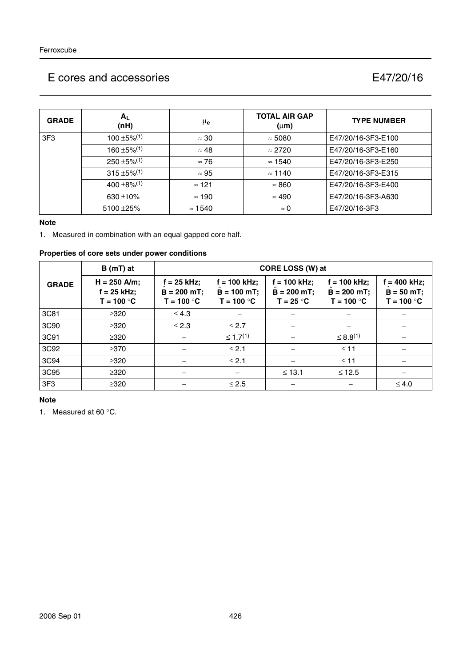| <b>GRADE</b>    | $A_L$<br>(nH)                | $\mu_{\mathbf{e}}$ | <b>TOTAL AIR GAP</b><br>$(\mu m)$ | <b>TYPE NUMBER</b> |
|-----------------|------------------------------|--------------------|-----------------------------------|--------------------|
| 3F <sub>3</sub> | $100 \pm 5\%$ <sup>(1)</sup> | $\approx 30$       | $\approx 5080$                    | E47/20/16-3F3-E100 |
|                 | $160 \pm 5\%$ <sup>(1)</sup> | $\approx 48$       | $\approx$ 2720                    | E47/20/16-3F3-E160 |
|                 | $250 \pm 5\%$ <sup>(1)</sup> | $\approx 76$       | $\approx$ 1540                    | E47/20/16-3F3-E250 |
|                 | $315 \pm 5\%$ <sup>(1)</sup> | $\approx 95$       | $\approx$ 1140                    | E47/20/16-3F3-E315 |
|                 | $400 \pm 8\%/1$              | $\approx$ 121      | $\approx 860$                     | E47/20/16-3F3-E400 |
|                 | 630 $\pm$ 10%                | $\approx$ 190      | $\approx 490$                     | E47/20/16-3F3-A630 |
|                 | $5100 + 25%$                 | $\approx$ 1540     | $\approx 0$                       | E47/20/16-3F3      |

#### **Note**

1. Measured in combination with an equal gapped core half.

## **Properties of core sets under power conditions**

|                 | $B(mT)$ at                                      |                                            | CORE LOSS (W) at                              |                                               |                                                  |                                              |  |  |
|-----------------|-------------------------------------------------|--------------------------------------------|-----------------------------------------------|-----------------------------------------------|--------------------------------------------------|----------------------------------------------|--|--|
| <b>GRADE</b>    | $H = 250$ A/m;<br>$f = 25$ kHz;<br>$T = 100 °C$ | = 25 kHz;<br>$B = 200$ mT;<br>$T = 100 °C$ | f = 100 kHz;<br>$B = 100$ mT;<br>$T = 100 °C$ | $= 100$ kHz;<br>$B = 200 mT$ ;<br>$T = 25 °C$ | $f = 100$ kHz;<br>$B = 200 mT$ ;<br>$T = 100 °C$ | $= 400$ kHz;<br>$B = 50 mT;$<br>$T = 100 °C$ |  |  |
| 3C81            | $\geq 320$                                      | $\leq 4.3$                                 |                                               |                                               |                                                  |                                              |  |  |
| 3C90            | $\geq 320$                                      | $\leq$ 2.3                                 | $\leq$ 2.7                                    |                                               |                                                  |                                              |  |  |
| 3C91            | $\geq 320$                                      |                                            | $\leq 1.7^{(1)}$                              |                                               | $\leq 8.8^{(1)}$                                 |                                              |  |  |
| 3C92            | $\geq$ 370                                      |                                            | $≤ 2.1$                                       |                                               | $\leq 11$                                        |                                              |  |  |
| 3C94            | $\geq 320$                                      |                                            | $≤ 2.1$                                       |                                               | $\leq 11$                                        |                                              |  |  |
| 3C95            | $\geq 320$                                      |                                            |                                               | $\leq 13.1$                                   | $≤ 12.5$                                         |                                              |  |  |
| 3F <sub>3</sub> | $\geq 320$                                      |                                            | $\leq 2.5$                                    |                                               |                                                  | $\leq 4.0$                                   |  |  |

#### **Note**

1. Measured at 60 °C.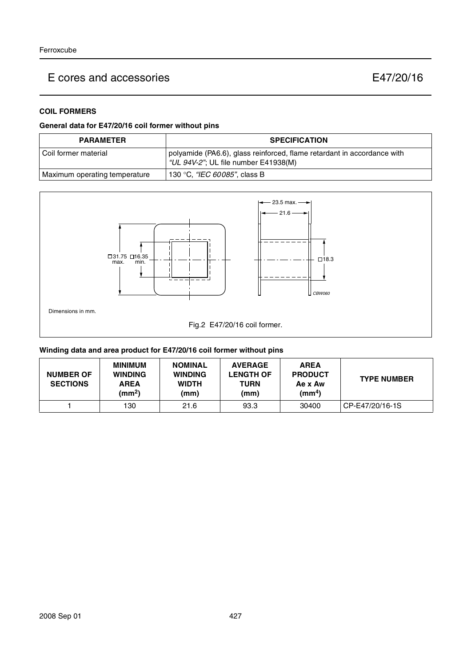## **COIL FORMERS**

## **General data for E47/20/16 coil former without pins**

| <b>PARAMETER</b>              | <b>SPECIFICATION</b>                                                                                            |
|-------------------------------|-----------------------------------------------------------------------------------------------------------------|
| l Coil former material        | polyamide (PA6.6), glass reinforced, flame retardant in accordance with<br>"UL 94V-2"; UL file number E41938(M) |
| Maximum operating temperature | 130 °C, <i>"IEC 60085"</i> , class B                                                                            |



## **Winding data and area product for E47/20/16 coil former without pins**

| <b>NUMBER OF</b><br><b>SECTIONS</b> | <b>MINIMUM</b><br><b>WINDING</b><br><b>AREA</b><br>$\textsf{(mm}^2)$ | <b>NOMINAL</b><br><b>WINDING</b><br><b>WIDTH</b><br>(mm) | <b>AVERAGE</b><br><b>LENGTH OF</b><br><b>TURN</b><br>(mm) | <b>AREA</b><br><b>PRODUCT</b><br>Ae x Aw<br>(mm <sup>4</sup> ) | <b>TYPE NUMBER</b> |
|-------------------------------------|----------------------------------------------------------------------|----------------------------------------------------------|-----------------------------------------------------------|----------------------------------------------------------------|--------------------|
|                                     | 130                                                                  | 21.6                                                     | 93.3                                                      | 30400                                                          | CP-E47/20/16-1S    |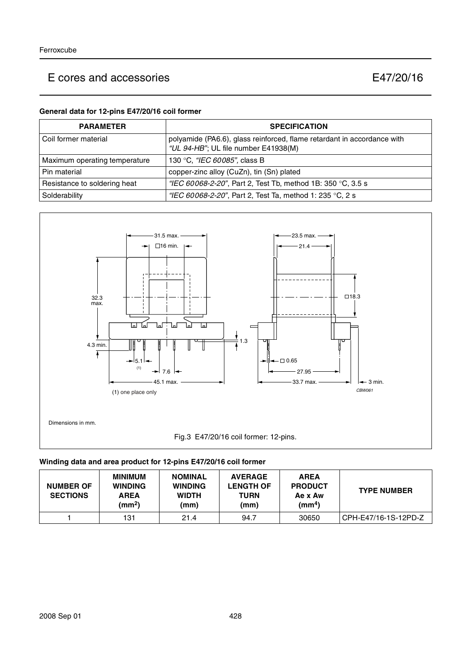### **General data for 12-pins E47/20/16 coil former**

| <b>PARAMETER</b>              | <b>SPECIFICATION</b>                                                                                            |
|-------------------------------|-----------------------------------------------------------------------------------------------------------------|
| l Coil former material        | polyamide (PA6.6), glass reinforced, flame retardant in accordance with<br>"UL 94-HB"; UL file number E41938(M) |
| Maximum operating temperature | 130 °C, "IEC 60085", class B                                                                                    |
| Pin material                  | copper-zinc alloy (CuZn), tin (Sn) plated                                                                       |
| Resistance to soldering heat  | "IEC 60068-2-20", Part 2, Test Tb, method 1B: 350 °C, 3.5 s                                                     |
| Solderability                 | "IEC 60068-2-20", Part 2, Test Ta, method 1: 235 °C, 2 s                                                        |



## **Winding data and area product for 12-pins E47/20/16 coil former**

| <b>NUMBER OF</b><br><b>SECTIONS</b> | <b>MINIMUM</b><br><b>WINDING</b><br><b>AREA</b><br>(mm <sup>2</sup> ) | <b>NOMINAL</b><br><b>WINDING</b><br><b>WIDTH</b><br>(mm) | <b>AVERAGE</b><br><b>LENGTH OF</b><br><b>TURN</b><br>(mm) | <b>AREA</b><br><b>PRODUCT</b><br>Ae x Aw<br>$\text{(mm}^4)$ | <b>TYPE NUMBER</b>     |
|-------------------------------------|-----------------------------------------------------------------------|----------------------------------------------------------|-----------------------------------------------------------|-------------------------------------------------------------|------------------------|
|                                     | 131                                                                   | 21.4                                                     | 94.7                                                      | 30650                                                       | i CPH-E47/16-1S-12PD-Z |